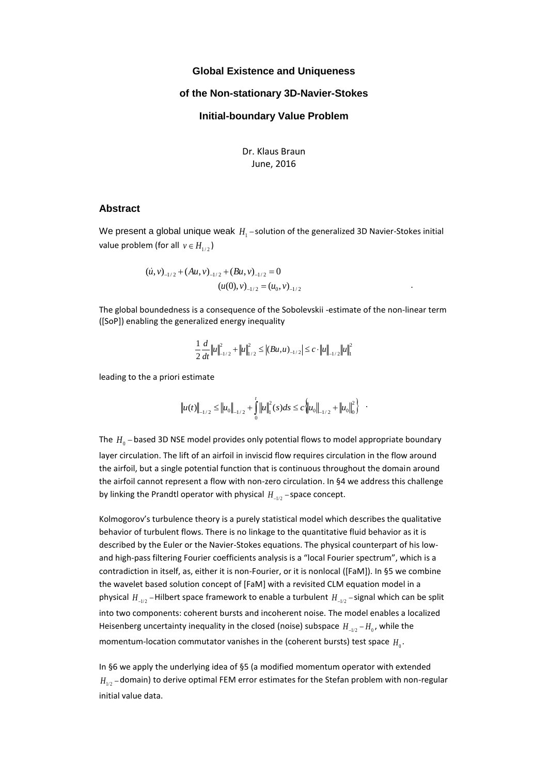#### **Global Existence and Uniqueness**

### **of the Non-stationary 3D-Navier-Stokes**

### **Initial-boundary Value Problem**

Dr. Klaus Braun June, 2016

#### **Abstract**

We present a global unique weak  $H_{\rm 1}$  –solution of the generalized 3D Navier-Stokes initial value problem (for all  $v \in H_{1/2}$ )

$$
(u, v)_{-1/2} + (Au, v)_{-1/2} + (Bu, v)_{-1/2} = 0
$$
  

$$
(u(0), v)_{-1/2} = (u_0, v)_{-1/2}
$$

The global boundedness is a consequence of the Sobolevskii -estimate of the non-linear term ([SoP]) enabling the generalized energy inequality

$$
\frac{1}{2}\frac{d}{dt}\left\|u\right\|_{-1/2}^{2}+\left\|u\right\|_{1/2}^{2}\leq \left|\left(Bu,u\right)_{-1/2}\right|\leq c\cdot\left\|u\right\|_{-1/2}\left\|u\right\|_{1}^{2}
$$

leading to the a priori estimate

$$
\left\|u(t)\right\|_{-1/2} \leq \left\|u_0\right\|_{-1/2} + \int_0^t \left\|u\right\|_{1}^2(s)ds \leq c \left\|u_0\right\|_{-1/2} + \left\|u_0\right\|_0^2\right\} .
$$

The  $H_{0}$  – based 3D NSE model provides only potential flows to model appropriate boundary layer circulation. The lift of an airfoil in inviscid flow requires circulation in the flow around the airfoil, but a single potential function that is continuous throughout the domain around the airfoil cannot represent a flow with non-zero circulation. In §4 we address this challenge by linking the Prandtl operator with physical  $H_{-1/2}$  – space concept.

Kolmogorov's turbulence theory is a purely statistical model which describes the qualitative behavior of turbulent flows. There is no linkage to the quantitative fluid behavior as it is described by the Euler or the Navier-Stokes equations. The physical counterpart of his lowand high-pass filtering Fourier coefficients analysis is a "local Fourier spectrum", which is a contradiction in itself, as, either it is non-Fourier, or it is nonlocal ([FaM]). In §5 we combine the wavelet based solution concept of [FaM] with a revisited CLM equation model in a physical  $H_{\perp i2}$  – Hilbert space framework to enable a turbulent  $H_{\perp i2}$  – signal which can be split into two components: coherent bursts and incoherent noise. The model enables a localized Heisenberg uncertainty inequality in the closed (noise) subspace  $H_{-1/2}$  –  $H_0$ , while the momentum-location commutator vanishes in the (coherent bursts) test space  $H_0$ .

In §6 we apply the underlying idea of §5 (a modified momentum operator with extended  $H_{1/2}$  – domain) to derive optimal FEM error estimates for the Stefan problem with non-regular initial value data.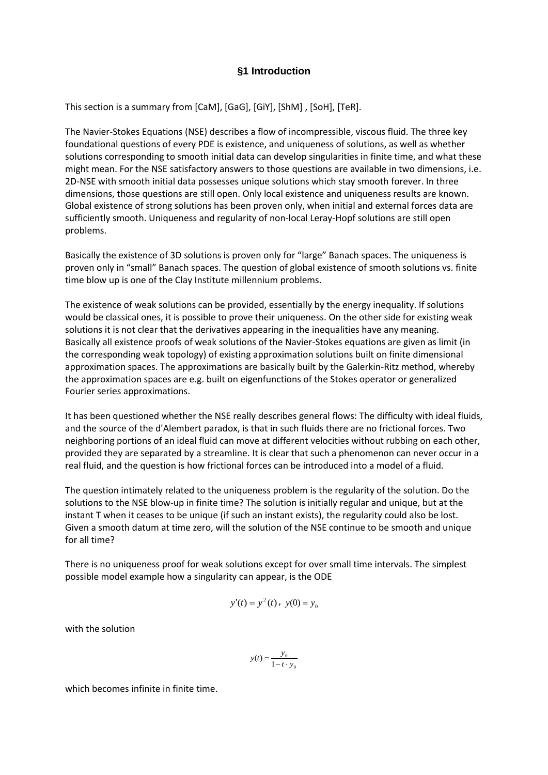# **§1 Introduction**

This section is a summary from [CaM], [GaG], [GiY], [ShM] , [SoH], [TeR].

The Navier-Stokes Equations (NSE) describes a flow of incompressible, viscous fluid. The three key foundational questions of every PDE is existence, and uniqueness of solutions, as well as whether solutions corresponding to smooth initial data can develop singularities in finite time, and what these might mean. For the NSE satisfactory answers to those questions are available in two dimensions, i.e. 2D-NSE with smooth initial data possesses unique solutions which stay smooth forever. In three dimensions, those questions are still open. Only local existence and uniqueness results are known. Global existence of strong solutions has been proven only, when initial and external forces data are sufficiently smooth. Uniqueness and regularity of non-local Leray-Hopf solutions are still open problems.

Basically the existence of 3D solutions is proven only for "large" Banach spaces. The uniqueness is proven only in "small" Banach spaces. The question of global existence of smooth solutions vs. finite time blow up is one of the Clay Institute millennium problems.

The existence of weak solutions can be provided, essentially by the energy inequality. If solutions would be classical ones, it is possible to prove their uniqueness. On the other side for existing weak solutions it is not clear that the derivatives appearing in the inequalities have any meaning. Basically all existence proofs of weak solutions of the Navier-Stokes equations are given as limit (in the corresponding weak topology) of existing approximation solutions built on finite dimensional approximation spaces. The approximations are basically built by the Galerkin-Ritz method, whereby the approximation spaces are e.g. built on eigenfunctions of the Stokes operator or generalized Fourier series approximations.

It has been questioned whether the NSE really describes general flows: The difficulty with ideal fluids, and the source of the d'Alembert paradox, is that in such fluids there are no frictional forces. Two neighboring portions of an ideal fluid can move at different velocities without rubbing on each other, provided they are separated by a streamline. It is clear that such a phenomenon can never occur in a real fluid, and the question is how frictional forces can be introduced into a model of a fluid.

The question intimately related to the uniqueness problem is the regularity of the solution. Do the solutions to the NSE blow-up in finite time? The solution is initially regular and unique, but at the instant T when it ceases to be unique (if such an instant exists), the regularity could also be lost. Given a smooth datum at time zero, will the solution of the NSE continue to be smooth and unique for all time?

There is no uniqueness proof for weak solutions except for over small time intervals. The simplest possible model example how a singularity can appear, is the ODE

$$
y'(t) = y^2(t), \ y(0) = y_0
$$

with the solution

$$
y(t) = \frac{y_0}{1 - t \cdot y_0}
$$

which becomes infinite in finite time.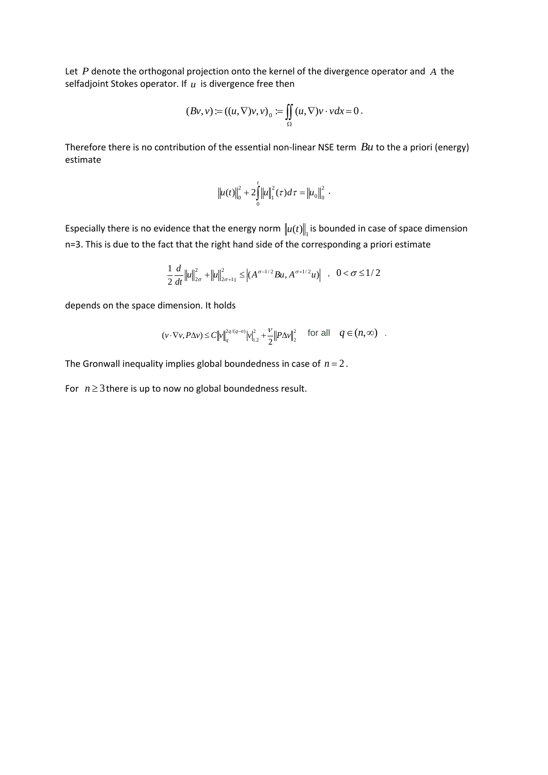Let P denote the orthogonal projection onto the kernel of the divergence operator and A the selfadjoint Stokes operator. If *u* is divergence free then

$$
(Bv, v) := ((u, \nabla)v, v)_0 := \iint_{\Omega} (u, \nabla)v \cdot v dx = 0.
$$

Therefore there is no contribution of the essential non-linear NSE term *Bu* to the a priori (energy) estimate

$$
\|u(t)\|_{0}^{2}+2\int_{0}^{t}\left\|u\right\|_{1}^{2}(\tau)d\tau=\left\|u_{0}\right\|_{0}^{2}.
$$

Especially there is no evidence that the energy norm  $\|u(t)\|_{1}$  is bounded in case of space dimension n=3. This is due to the fact that the right hand side of the corresponding a priori estimate

$$
\frac{1}{2}\frac{d}{dt}\left\|u\right\|_{2\sigma}^{2} + \left\|u\right\|_{2\sigma+11}^{2} \leq \left|(A^{\sigma-1/2}Bu, A^{\sigma+1/2}u)\right| \quad , \quad 0 < \sigma \leq 1/2
$$

depends on the space dimension. It holds

$$
(v\cdot \nabla v, P\Delta v) \leq C \big\|v\big\|_q^{2q/(q-n)}\big|v\big\|_{1,2}^2 + \frac{\nu}{2}\big\|P\Delta v\big\|_2^2 \quad \text{ for all } \quad q\in (n,\infty) \quad .
$$

The Gronwall inequality implies global boundedness in case of  $n = 2$ .

For  $n \geq 3$  there is up to now no global boundedness result.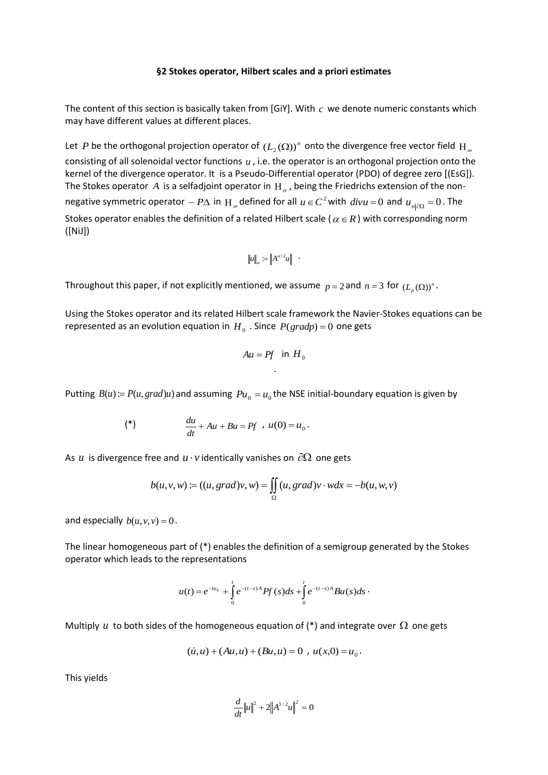### **§2 Stokes operator, Hilbert scales and a priori estimates**

The content of this section is basically taken from [GiY]. With  $c$  we denote numeric constants which may have different values at different places.

Let  $P$  be the orthogonal projection operator of  $(L_2(\Omega))^n$  onto the divergence free vector field  $H_{\varrho}$ consisting of all solenoidal vector functions u, i.e. the operator is an orthogonal projection onto the kernel of the divergence operator. It is a Pseudo-Differential operator (PDO) of degree zero [(EsG]). The Stokes operator A is a selfadjoint operator in  $H_{\sigma}$ , being the Friedrichs extension of the nonnegative symmetric operator  $-P\Delta$  in  $H_{\omega}$  defined for all  $u \in C^2$  with  $divu = 0$  and  $u_{n|\partial\Omega} = 0$ . The Stokes operator enables the definition of a related Hilbert scale ( $\alpha \in R$ ) with corresponding norm ([NiJ])

$$
||u||_{\alpha} := ||A^{\alpha/2}u|| \quad .
$$

Throughout this paper, if not explicitly mentioned, we assume  $p = 2$  and  $n = 3$  for  $(L_p(\Omega))^n$ .

Using the Stokes operator and its related Hilbert scale framework the Navier-Stokes equations can be represented as an evolution equation in  $H_0$  . Since  $P(gradp) = 0$  one gets

$$
Au = Pf \text{ in } H_0
$$

Putting  $B(u) = P(u, grad)u$ ) and assuming  $Pu_0 = u_0$  the NSE initial-boundary equation is given by

$$
(*)\qquad \qquad \frac{du}{dt}+Au+Bu=Pf\quad u(0)=u_0.
$$

As  $u$  is divergence free and  $u \cdot v$  identically vanishes on  $\partial \Omega$  one gets

$$
b(u, v, w) := ((u, grad)v, w) = \iint_{\Omega} (u, grad)v \cdot w dx = -b(u, w, v)
$$

and especially  $b(u, v, v) = 0$ .

The linear homogeneous part of (\*) enables the definition of a semigroup generated by the Stokes operator which leads to the representations

$$
u(t) = e^{-tu_0} + \int_0^t e^{-(t-s)A} P f(s) ds + \int_0^t e^{-(t-s)A} B u(s) ds
$$

Multiply u to both sides of the homogeneous equation of (\*) and integrate over  $\Omega$  one gets

$$
(\dot{u}, u) + (Au, u) + (Bu, u) = 0 , u(x, 0) = u_0.
$$

This yields

$$
\frac{d}{dt}||u||^2 + 2||A^{1/2}u||^2 = 0
$$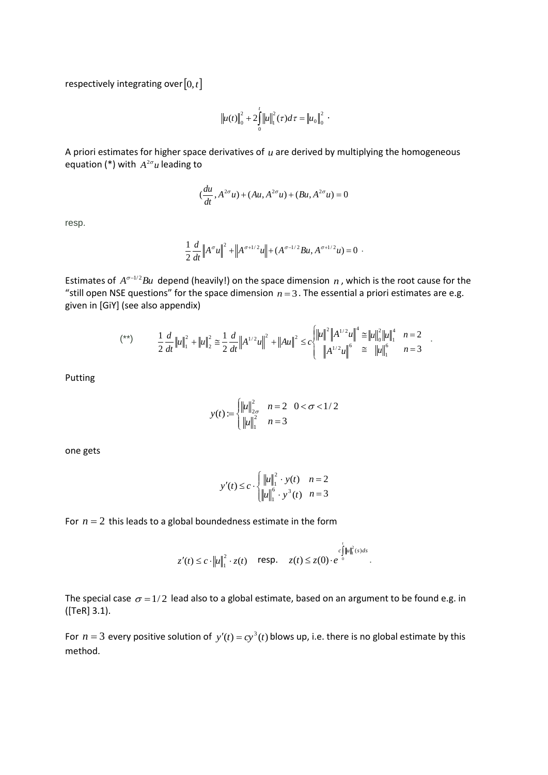respectively integrating over  $[0, t]$ 

$$
\|u(t)\|_{0}^{2}+2\int_{0}^{t}\|u\|_{1}^{2}(\tau)d\tau=\|u_{0}\|_{0}^{2}.
$$

A priori estimates for higher space derivatives of  $u$  are derived by multiplying the homogeneous equation (\*) with  $A^{2\sigma}u$  leading to

$$
(\frac{du}{dt}, A^{2\sigma}u) + (Au, A^{2\sigma}u) + (Bu, A^{2\sigma}u) = 0
$$

resp.

$$
\frac{1}{2}\frac{d}{dt}\Big\|A^{\sigma}u\Big\|^2+\Big\|A^{\sigma+1/2}u\Big\|+(A^{\sigma-1/2}Bu,A^{\sigma+1/2}u)=0
$$

Estimates of  $A^{\sigma-1/2}Bu$  depend (heavily!) on the space dimension n, which is the root cause for the "still open NSE questions" for the space dimension  $n = 3$ . The essential a priori estimates are e.g. given in [GiY] (see also appendix)

$$
(**) \qquad \frac{1}{2} \frac{d}{dt} ||u||_1^2 + ||u||_2^2 \cong \frac{1}{2} \frac{d}{dt} ||A^{1/2}u||^2 + ||Au||^2 \le c \begin{cases} ||u||^2 ||A^{1/2}u||^4 \cong ||u||_0^2 ||u||_1^4 & n=2\\ ||A^{1/2}u||^6 \cong ||u||_1^6 & n=3 \end{cases}.
$$

Putting

$$
y(t) := \begin{cases} ||u||_{2\sigma}^{2} & n = 2 & 0 < \sigma < 1/2 \\ ||u||_{1}^{2} & n = 3 \end{cases}
$$

one gets

$$
y'(t) \le c \cdot \begin{cases} ||u||_1^2 \cdot y(t) & n = 2 \\ ||u||_1^6 \cdot y^3(t) & n = 3 \end{cases}
$$

For  $n = 2$  this leads to a global boundedness estimate in the form

$$
z'(t) \leq c \cdot ||u||_1^2 \cdot z(t) \quad \text{resp.} \quad z(t) \leq z(0) \cdot e^{-\int_0^t ||u||_1^2(s)ds}.
$$

The special case  $\sigma = 1/2$  lead also to a global estimate, based on an argument to be found e.g. in ([TeR] 3.1).

For  $n = 3$  every positive solution of  $y'(t) = cy^3(t)$  blows up, i.e. there is no global estimate by this method.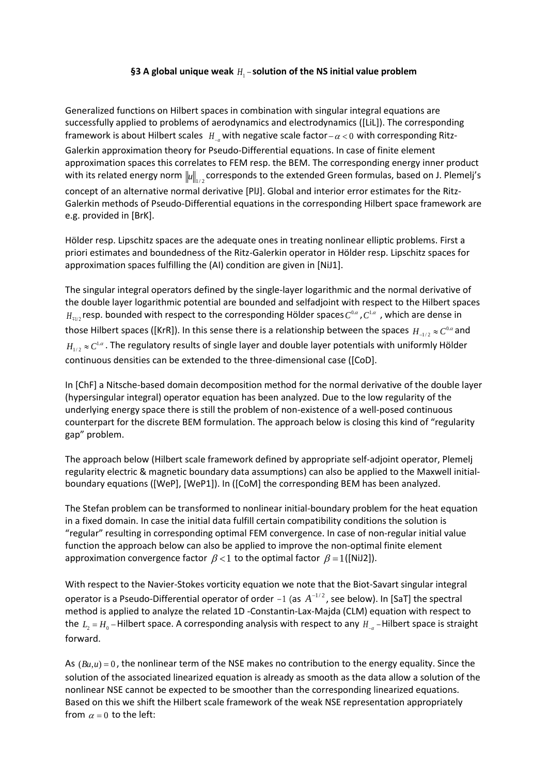# §3 A global unique weak  $H_1$  – solution of the NS initial value problem

Generalized functions on Hilbert spaces in combination with singular integral equations are successfully applied to problems of aerodynamics and electrodynamics ([LiL]). The corresponding framework is about Hilbert scales  $H_{-a}$  with negative scale factor –  $\alpha$  < 0 with corresponding Ritz-Galerkin approximation theory for Pseudo-Differential equations. In case of finite element approximation spaces this correlates to FEM resp. the BEM. The corresponding energy inner product with its related energy norm  $\|u\|_{_{1/2}}$  corresponds to the extended Green formulas, based on J. Plemelj's concept of an alternative normal derivative [PlJ]. Global and interior error estimates for the Ritz-Galerkin methods of Pseudo-Differential equations in the corresponding Hilbert space framework are e.g. provided in [BrK].

Hölder resp. Lipschitz spaces are the adequate ones in treating nonlinear elliptic problems. First a priori estimates and boundedness of the Ritz-Galerkin operator in Hölder resp. Lipschitz spaces for approximation spaces fulfilling the (AI) condition are given in [NiJ1].

The singular integral operators defined by the single-layer logarithmic and the normal derivative of the double layer logarithmic potential are bounded and selfadjoint with respect to the Hilbert spaces  $H_{\mp \mu/2}$ resp. bounded with respect to the corresponding Hölder spaces  $C^{0.\alpha}$  ,  $C^{1.\alpha}$  , which are dense in those Hilbert spaces ([KrR]). In this sense there is a relationship between the spaces  $H_{-1/2} \approx C^{0,\alpha}$  and  $H_{1/2} \approx C^{1\alpha}$ . The regulatory results of single layer and double layer potentials with uniformly Hölder continuous densities can be extended to the three-dimensional case ([CoD].

In [ChF] a Nitsche-based domain decomposition method for the normal derivative of the double layer (hypersingular integral) operator equation has been analyzed. Due to the low regularity of the underlying energy space there is still the problem of non-existence of a well-posed continuous counterpart for the discrete BEM formulation. The approach below is closing this kind of "regularity gap" problem.

The approach below (Hilbert scale framework defined by appropriate self-adjoint operator, Plemelj regularity electric & magnetic boundary data assumptions) can also be applied to the Maxwell initialboundary equations ([WeP], [WeP1]). In ([CoM] the corresponding BEM has been analyzed.

The Stefan problem can be transformed to nonlinear initial-boundary problem for the heat equation in a fixed domain. In case the initial data fulfill certain compatibility conditions the solution is "regular" resulting in corresponding optimal FEM convergence. In case of non-regular initial value function the approach below can also be applied to improve the non-optimal finite element approximation convergence factor  $\beta$  < 1 to the optimal factor  $\beta$  = 1 ([NiJ2]).

With respect to the Navier-Stokes vorticity equation we note that the Biot-Savart singular integral operator is a Pseudo-Differential operator of order  $-1$  (as  $A^{-1/2}$ , see below). In [SaT] the spectral method is applied to analyze the related 1D -Constantin-Lax-Majda (CLM) equation with respect to the  $L_2 = H_0$  – Hilbert space. A corresponding analysis with respect to any  $H_{-a}$  – Hilbert space is straight forward.

As  $(Bu,u) = 0$ , the nonlinear term of the NSE makes no contribution to the energy equality. Since the solution of the associated linearized equation is already as smooth as the data allow a solution of the nonlinear NSE cannot be expected to be smoother than the corresponding linearized equations. Based on this we shift the Hilbert scale framework of the weak NSE representation appropriately from  $\alpha = 0$  to the left: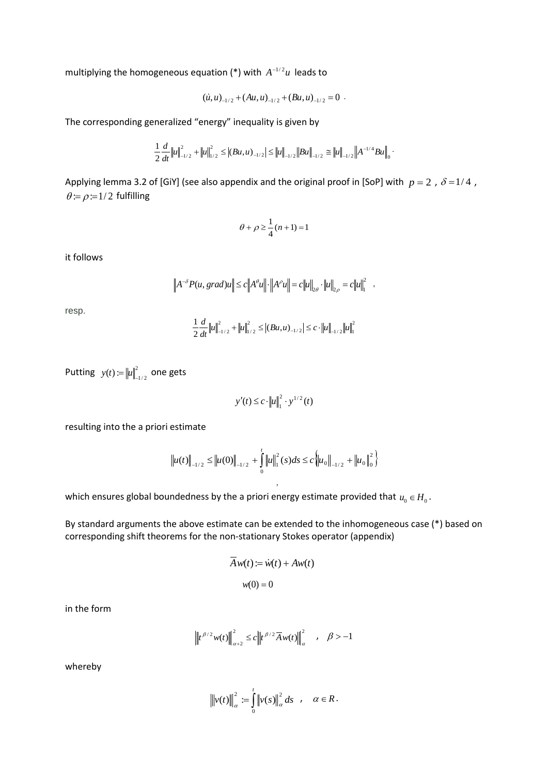multiplying the homogeneous equation (\*) with  $A^{-1/2}u$  leads to

$$
(\dot{u}, u)_{-1/2} + (Au, u)_{-1/2} + (Bu, u)_{-1/2} = 0.
$$

The corresponding generalized "energy" inequality is given by

$$
\frac{1}{2}\frac{d}{dt}\big\|u\big\|_{-1/2}^2 + \big\|u\big\|_{1/2}^2 \leq \big|\left(Bu,u\right)_{-1/2}\big|\leq \big\|u\big\|_{-1/2}\big\|Bu\big\|_{-1/2} \cong \big\|u\big\|_{-1/2}\big\|A^{-1/4}Bu\big\|_{0}.
$$

Applying lemma 3.2 of [GiY] (see also appendix and the original proof in [SoP] with  $p = 2$  ,  $\delta = 1/4$  ,  $\theta = \rho = 1/2$  fulfilling

$$
\theta+\rho\geq \frac{1}{4}(n+1)=1
$$

it follows

$$
\left\|A^{-\delta}P(u, grad)u\right\| \le c\left\|A^{\rho}u\right\| \cdot \left\|A^{\rho}u\right\| = c\left\|u\right\|_{2\theta} \cdot \left\|u\right\|_{2\rho} = c\left\|u\right\|_{1}^{2} ,
$$

resp.

$$
\frac{1}{2}\frac{d}{dt}\|u\|_{-1/2}^2 + \|u\|_{1/2}^2 \leq |(Bu,u)_{-1/2}| \leq c \cdot \|u\|_{-1/2} \|u\|_{1}^2
$$

Putting  $y(t) := ||u||^2$  $y(t) := \left\| u \right\|_{-1/2}^2$  one gets

$$
y'(t) \leq c \cdot ||u||_1^2 \cdot y^{1/2}(t)
$$

resulting into the a priori estimate

$$
\left\|u(t)\right\|_{-1/2} \leq \left\|u(0)\right\|_{-1/2} + \int_{0}^{t} \left\|u\right\|_{1}^{2}(s)ds \leq c \left\|u_{0}\right\|_{-1/2} + \left\|u_{0}\right\|_{0}^{2}\right\}
$$

,

which ensures global boundedness by the a priori energy estimate provided that  $u_0 \in H_0$ .

By standard arguments the above estimate can be extended to the inhomogeneous case (\*) based on corresponding shift theorems for the non-stationary Stokes operator (appendix)

$$
A w(t) := \dot{w}(t) + A w(t)
$$

$$
w(0) = 0
$$

in the form

$$
\left\|t^{\beta/2}w(t)\right\|_{\alpha+2}^2 \leq c\left\|t^{\beta/2}\overline{A}w(t)\right\|_{\alpha}^2 \quad , \quad \beta > -1
$$

whereby

$$
\left\|v(t)\right\|_{\alpha}^{2} := \int_{0}^{t} \left\|v(s)\right\|_{\alpha}^{2} ds \quad , \quad \alpha \in R.
$$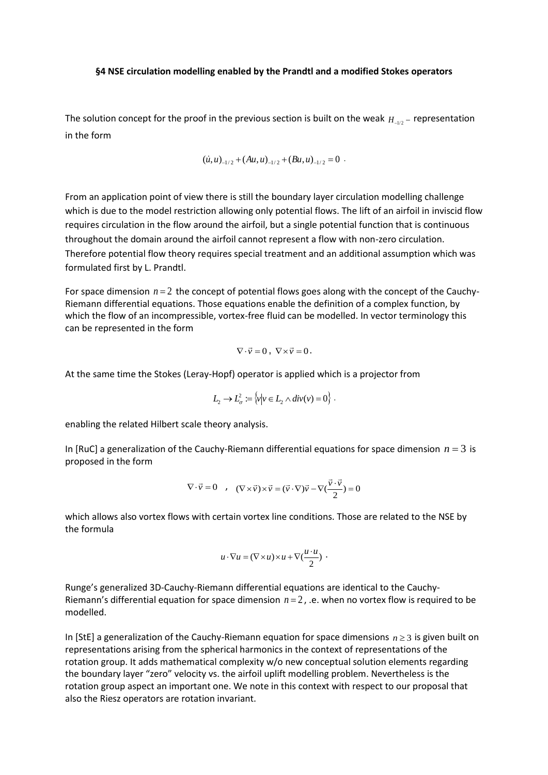### **§4 NSE circulation modelling enabled by the Prandtl and a modified Stokes operators**

The solution concept for the proof in the previous section is built on the weak  $H_{\perp_{1/2}}$  – representation in the form

$$
(\dot{u}, u)_{-1/2} + (Au, u)_{-1/2} + (Bu, u)_{-1/2} = 0.
$$

From an application point of view there is still the boundary layer circulation modelling challenge which is due to the model restriction allowing only potential flows. The lift of an airfoil in inviscid flow requires circulation in the flow around the airfoil, but a single potential function that is continuous throughout the domain around the airfoil cannot represent a flow with non-zero circulation. Therefore potential flow theory requires special treatment and an additional assumption which was formulated first by L. Prandtl.

For space dimension  $n = 2$  the concept of potential flows goes along with the concept of the Cauchy-Riemann differential equations. Those equations enable the definition of a complex function, by which the flow of an incompressible, vortex-free fluid can be modelled. In vector terminology this can be represented in the form

$$
\nabla \cdot \vec{v} = 0 \,, \ \nabla \times \vec{v} = 0 \,.
$$

At the same time the Stokes (Leray-Hopf) operator is applied which is a projector from

$$
L_2 \to L^2_\sigma := \{v \mid v \in L_2 \wedge div(v) = 0\}.
$$

enabling the related Hilbert scale theory analysis.

In [RuC] a generalization of the Cauchy-Riemann differential equations for space dimension  $n = 3$  is proposed in the form

$$
\nabla \cdot \vec{v} = 0 \quad , \quad (\nabla \times \vec{v}) \times \vec{v} = (\vec{v} \cdot \nabla) \vec{v} - \nabla (\frac{\vec{v} \cdot \vec{v}}{2}) = 0
$$

which allows also vortex flows with certain vortex line conditions. Those are related to the NSE by the formula

$$
u\cdot\nabla u=(\nabla\times u)\times u+\nabla(\frac{u\cdot u}{2})\cdot
$$

Runge's generalized 3D-Cauchy-Riemann differential equations are identical to the Cauchy-Riemann's differential equation for space dimension  $n = 2$ , .e. when no vortex flow is required to be modelled.

In [StE] a generalization of the Cauchy-Riemann equation for space dimensions  $n \geq 3$  is given built on representations arising from the spherical harmonics in the context of representations of the rotation group. It adds mathematical complexity w/o new conceptual solution elements regarding the boundary layer "zero" velocity vs. the airfoil uplift modelling problem. Nevertheless is the rotation group aspect an important one. We note in this context with respect to our proposal that also the Riesz operators are rotation invariant.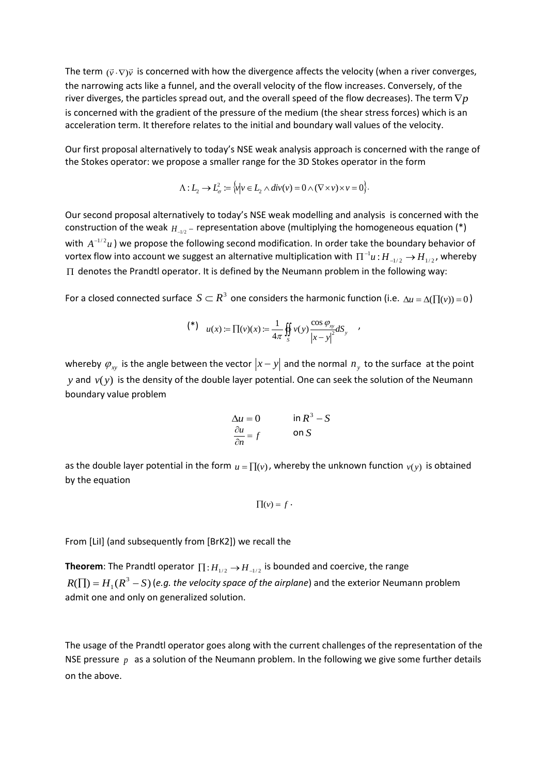The term  $(\vec{v}\cdot\nabla)\vec{v}$  is concerned with how the divergence affects the velocity (when a river converges, the narrowing acts like a funnel, and the overall velocity of the flow increases. Conversely, of the river diverges, the particles spread out, and the overall speed of the flow decreases). The term  $\nabla p$ is concerned with the gradient of the pressure of the medium (the shear stress forces) which is an acceleration term. It therefore relates to the initial and boundary wall values of the velocity.

Our first proposal alternatively to today's NSE weak analysis approach is concerned with the range of the Stokes operator: we propose a smaller range for the 3D Stokes operator in the form

$$
\Lambda: L_2 \to L^2_\sigma := \{v \mid v \in L_2 \wedge div(v) = 0 \wedge (\nabla \times v) \times v = 0\}.
$$

Our second proposal alternatively to today's NSE weak modelling and analysis is concerned with the construction of the weak  $H_{\perp_{1/2}}$  – representation above (multiplying the homogeneous equation (\*) with  $A^{-1/2}u$  ) we propose the following second modification. In order take the boundary behavior of vortex flow into account we suggest an alternative multiplication with  $\Pi^{-1}u$  :  $H_{-1/2}$   $\to$   $H_{1/2}$ , whereby  $\Pi$  denotes the Prandtl operator. It is defined by the Neumann problem in the following way:

For a closed connected surface  $S \subset R^3$  one considers the harmonic function (i.e.  $\Delta u = \Delta(\prod(v)) = 0$ )

$$
(*) \quad u(x) := \prod(v)(x) := \frac{1}{4\pi} \iint_S v(y) \frac{\cos \varphi_{xy}}{|x - y|^2} dS_y \quad ,
$$

whereby  $\varphi_{xy}$  is the angle between the vector  $|x-y|$  and the normal  $n_y$  to the surface at the point *y* and  $v(y)$  is the density of the double layer potential. One can seek the solution of the Neumann boundary value problem

$$
\Delta u = 0 \qquad \text{in } \mathbb{R}^3 - S
$$

$$
\frac{\partial u}{\partial n} = f \qquad \text{on } S
$$

as the double layer potential in the form  $u = \prod(v)$ , whereby the unknown function  $v(y)$  is obtained by the equation

$$
\prod(v)=f\cdot
$$

From [LiI] (and subsequently from [BrK2]) we recall the

**Theorem**: The Prandtl operator  $\prod$  :  $H_{1/2} \rightarrow H_{-1/2}$  is bounded and coercive, the range  $R(\prod) = H^1(R^3 - S)$  (e.g. the velocity space of the airplane) and the exterior Neumann problem admit one and only on generalized solution.

The usage of the Prandtl operator goes along with the current challenges of the representation of the NSE pressure  $p$  as a solution of the Neumann problem. In the following we give some further details on the above.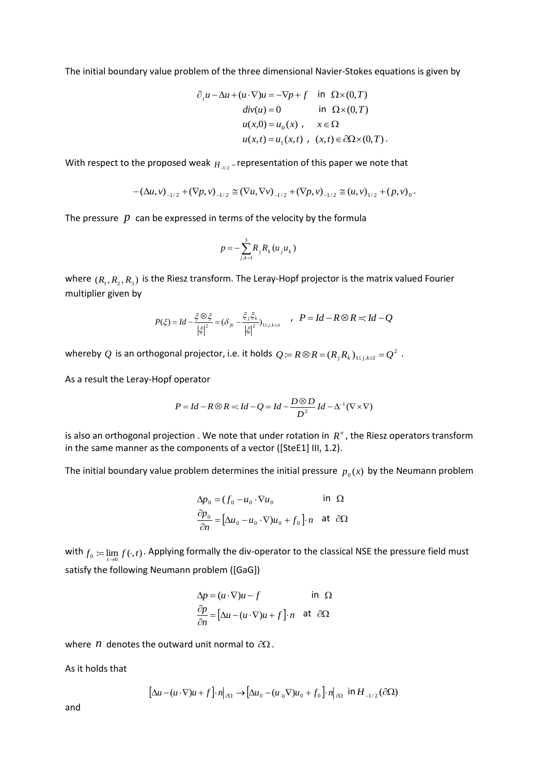The initial boundary value problem of the three dimensional Navier-Stokes equations is given by

$$
\partial_t u - \Delta u + (u \cdot \nabla)u = -\nabla p + f \quad \text{in } \Omega \times (0, T)
$$
  
\n
$$
div(u) = 0 \quad \text{in } \Omega \times (0, T)
$$
  
\n
$$
u(x, 0) = u_0(x) , \quad x \in \Omega
$$
  
\n
$$
u(x, t) = u_1(x, t) , \quad (x, t) \in \partial\Omega \times (0, T).
$$

With respect to the proposed weak  $H_{\scriptscriptstyle -1/2}$  -representation of this paper we note that

$$
-(\Delta u, v)_{-1/2} + (\nabla p, v)_{-1/2} \cong (\nabla u, \nabla v)_{-1/2} + (\nabla p, v)_{-1/2} \cong (u, v)_{1/2} + (p, v)_{0}.
$$

The pressure  $|p|$  can be expressed in terms of the velocity by the formula

$$
p=-\sum_{j,k=1}^3R_jR_k(u_ju_k)
$$

where  $(R_1, R_2, R_3)$  is the Riesz transform. The Leray-Hopf projector is the matrix valued Fourier multiplier given by

$$
P(\xi) = Id - \frac{\xi \otimes \xi}{|\xi|^2} = (\delta_{jk} - \frac{\xi_j \xi_k}{|\xi|^2})_{1 \le j,k \le n} \qquad P = Id - R \otimes R =: Id - Q
$$

whereby  $Q$  is an orthogonal projector, i.e. it holds  $Q$   $\coloneqq$   $R \otimes R$   $=$   $(R_{_f}R_{_k})_{_{1\leq j,k\leq 1}}$   $=$   $Q^2$  .

As a result the Leray-Hopf operator

$$
P = Id - R \otimes R =: Id - Q = Id - \frac{D \otimes D}{D^2} Id - \Delta^{-1} (\nabla \times \nabla)
$$

is also an orthogonal projection . We note that under rotation in  $R<sup>n</sup>$ , the Riesz operators transform in the same manner as the components of a vector ([SteE1] III, 1.2).

The initial boundary value problem determines the initial pressure  $p_{\scriptscriptstyle 0}(x)$  by the Neumann problem

$$
\Delta p_0 = (f_0 - u_0 \cdot \nabla u_0 \quad \text{in } \Omega
$$
  

$$
\frac{\partial p_0}{\partial n} = [\Delta u_0 - u_0 \cdot \nabla) u_0 + f_0 \cdot \mathbf{n} \quad \text{at } \partial \Omega
$$

with  $f_0 := \lim_{t\to 0} f(\cdot,t)$ . Applying formally the div-operator to the classical NSE the pressure field must satisfy the following Neumann problem ([GaG])

$$
\Delta p = (u \cdot \nabla)u - f \qquad \text{in } \Omega
$$
  

$$
\frac{\partial p}{\partial n} = [\Delta u - (u \cdot \nabla)u + f] \cdot n \quad \text{at } \partial \Omega
$$

where *n* denotes the outward unit normal to  $\partial\Omega$ .

As it holds that

$$
\left[\Delta u - (u \cdot \nabla)u + f\right] \cdot n|_{\partial \Omega} \to \left[\Delta u_0 - (u_0 \nabla)u_0 + f_0\right] \cdot n|_{\partial \Omega} \text{ in } H_{-1/2}(\partial \Omega)
$$

and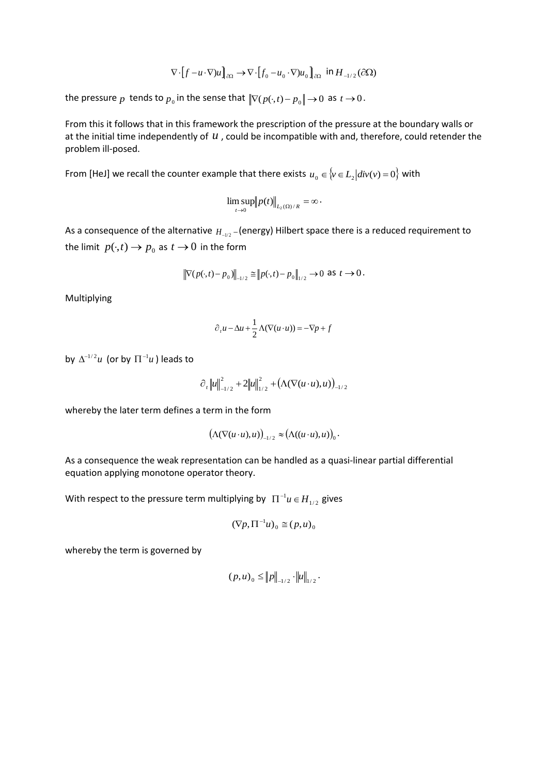$$
\nabla \cdot \left[ f - u \cdot \nabla \right] u \right]_{\partial \Omega} \to \nabla \cdot \left[ f_0 - u_0 \cdot \nabla \right] u_0 \Big]_{\partial \Omega} \text{ in } H_{-1/2}(\partial \Omega)
$$

the pressure  $p$  tends to  $p_{0}$  in the sense that  $\|\nabla (p(\cdot,t) - p_{0}\| \rightarrow 0$  as  $t \rightarrow 0$ .

From this it follows that in this framework the prescription of the pressure at the boundary walls or at the initial time independently of  $u$ , could be incompatible with and, therefore, could retender the problem ill-posed.

From [HeJ] we recall the counter example that there exists  $u_0 \in \{v \in L_2 | div(v) = 0\}$  with

$$
\limsup_{t\to 0}||p(t)||_{L_2(\Omega)/R}=\infty.
$$

As a consequence of the alternative  $H_{\perp_{l/2}}$  – (energy) Hilbert space there is a reduced requirement to the limit  $p(\cdot,t) \to p_{0}$  as  $t \to 0$  in the form

$$
\|\nabla(p(\cdot,t)-p_0)\|_{-1/2} \cong \|p(\cdot,t)-p_0\|_{1/2} \to 0 \text{ as } t \to 0.
$$

Multiplying

$$
\partial_t u - \Delta u + \frac{1}{2} \Lambda (\nabla (u \cdot u)) = -\nabla p + f
$$

by  $\Delta^{-1/2}u$  (or by  $\Pi^{-1}u$ ) leads to

$$
\partial_t \|u\|_{-1/2}^2 + 2\|u\|_{1/2}^2 + (\Lambda(\nabla(u\cdot u),u))_{-1/2}
$$

whereby the later term defines a term in the form

$$
\big(\Lambda(\nabla(u\cdot u),u)\big)_{-1/2}\approx \big(\Lambda((u\cdot u),u)\big)_0.
$$

As a consequence the weak representation can be handled as a quasi-linear partial differential equation applying monotone operator theory.

With respect to the pressure term multiplying by  $\prod^{-1}u \in H_{1/2}$  gives

$$
(\nabla p, \Pi^{-1} u)_0 \cong (p, u)_0
$$

whereby the term is governed by

$$
(p,u)_0 \leq ||p||_{-1/2} \cdot ||u||_{1/2}.
$$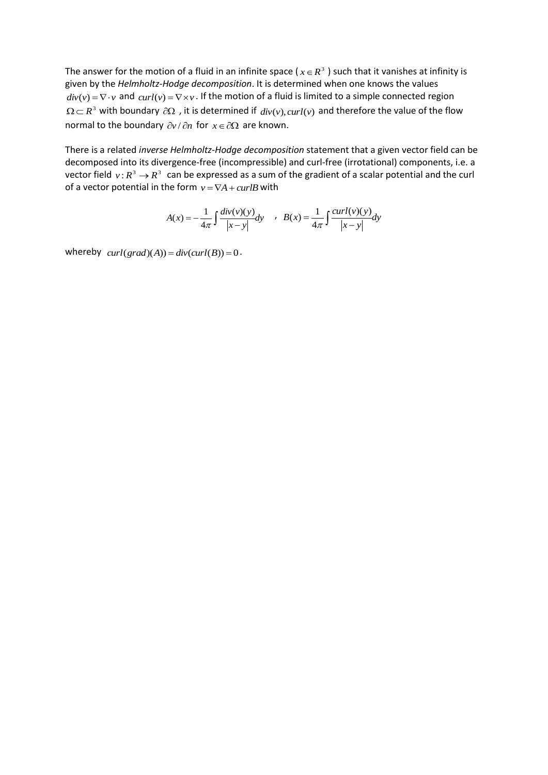The answer for the motion of a fluid in an infinite space ( $x \in R^3$ ) such that it vanishes at infinity is given by the *Helmholtz-Hodge decomposition*. It is determined when one knows the values  $div(v) = \nabla \cdot v$  and  $curl(v) = \nabla \times v$ . If the motion of a fluid is limited to a simple connected region  $\Omega \subset R^3$  with boundary  $\partial \Omega$ , it is determined if  $div(v)$ ,  $curl(v)$  and therefore the value of the flow normal to the boundary  $\partial v / \partial n$  for  $x \in \partial \Omega$  are known.

There is a related *inverse Helmholtz-Hodge decomposition* statement that a given vector field can be decomposed into its divergence-free (incompressible) and curl-free (irrotational) components, i.e. a vector field  $v: R^3 \to R^3$  can be expressed as a sum of the gradient of a scalar potential and the curl of a vector potential in the form  $v = \nabla A + \frac{curl}{B}$  with

$$
A(x) = -\frac{1}{4\pi} \int \frac{div(v)(y)}{|x-y|} dy \quad , \quad B(x) = \frac{1}{4\pi} \int \frac{curl(v)(y)}{|x-y|} dy
$$

whereby  $curl(grad)(A)) = div(curl(B)) = 0.$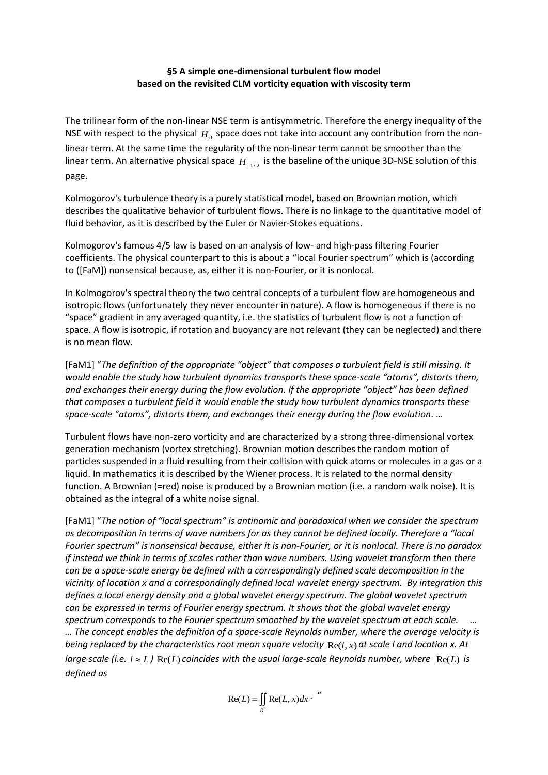### **§5 A simple one-dimensional turbulent flow model based on the revisited CLM vorticity equation with viscosity term**

The trilinear form of the non-linear NSE term is antisymmetric. Therefore the energy inequality of the NSE with respect to the physical  $H_0$  space does not take into account any contribution from the nonlinear term. At the same time the regularity of the non-linear term cannot be smoother than the linear term. An alternative physical space  $H_{-1/2}$  is the baseline of the unique 3D-NSE solution of this page.

Kolmogorov's turbulence theory is a purely statistical model, based on Brownian motion, which describes the qualitative behavior of turbulent flows. There is no linkage to the quantitative model of fluid behavior, as it is described by the Euler or Navier-Stokes equations.

Kolmogorov's famous 4/5 law is based on an analysis of low- and high-pass filtering Fourier coefficients. The physical counterpart to this is about a "local Fourier spectrum" which is (according to ([FaM]) nonsensical because, as, either it is non-Fourier, or it is nonlocal.

In Kolmogorov's spectral theory the two central concepts of a turbulent flow are homogeneous and isotropic flows (unfortunately they never encounter in nature). A flow is homogeneous if there is no "space" gradient in any averaged quantity, i.e. the statistics of turbulent flow is not a function of space. A flow is isotropic, if rotation and buoyancy are not relevant (they can be neglected) and there is no mean flow.

[FaM1] "*The definition of the appropriate "object" that composes a turbulent field is still missing. It would enable the study how turbulent dynamics transports these space-scale "atoms", distorts them, and exchanges their energy during the flow evolution. If the appropriate "object" has been defined that composes a turbulent field it would enable the study how turbulent dynamics transports these space-scale "atoms", distorts them, and exchanges their energy during the flow evolution*. …

Turbulent flows have non-zero vorticity and are characterized by a strong three-dimensional vortex generation mechanism (vortex stretching). Brownian motion describes the random motion of particles suspended in a fluid resulting from their collision with quick atoms or molecules in a gas or a liquid. In mathematics it is described by the Wiener process. It is related to the normal density function. A Brownian (=red) noise is produced by a Brownian motion (i.e. a random walk noise). It is obtained as the integral of a white noise signal.

[FaM1] "*The notion of "local spectrum" is antinomic and paradoxical when we consider the spectrum as decomposition in terms of wave numbers for as they cannot be defined locally. Therefore a "local Fourier spectrum" is nonsensical because, either it is non-Fourier, or it is nonlocal. There is no paradox if instead we think in terms of scales rather than wave numbers. Using wavelet transform then there can be a space-scale energy be defined with a correspondingly defined scale decomposition in the vicinity of location x and a correspondingly defined local wavelet energy spectrum. By integration this defines a local energy density and a global wavelet energy spectrum. The global wavelet spectrum can be expressed in terms of Fourier energy spectrum. It shows that the global wavelet energy spectrum corresponds to the Fourier spectrum smoothed by the wavelet spectrum at each scale. … … The concept enables the definition of a space-scale Reynolds number, where the average velocity is*  being replaced by the characteristics root mean square velocity  $\text{Re}(l, x)$  at scale I and location x. At large scale (i.e.  $l \approx L$ )  $\text{Re}(L)$  coincides with the usual large-scale Reynolds number, where  $\text{Re}(L)$  is *defined as* 

> $=\iint_{R^n}$  $Re(L) = \iint Re(L, x) dx$ . "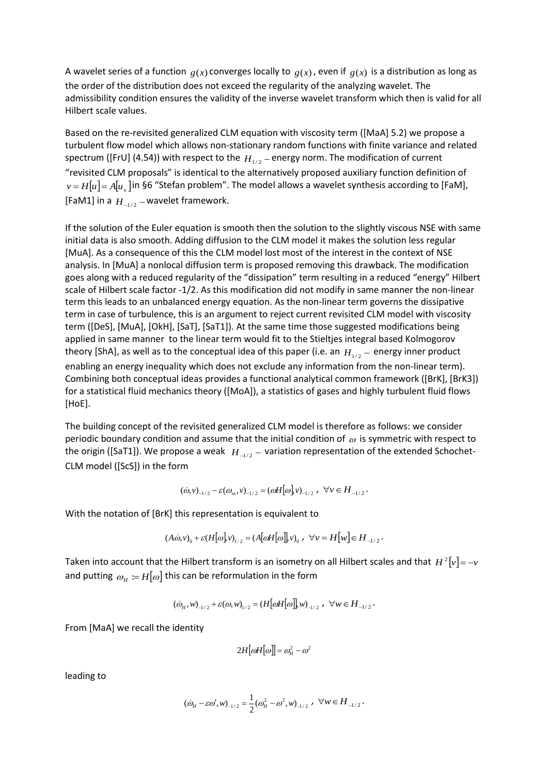A wavelet series of a function  $g(x)$  converges locally to  $g(x)$ , even if  $g(x)$  is a distribution as long as the order of the distribution does not exceed the regularity of the analyzing wavelet. The admissibility condition ensures the validity of the inverse wavelet transform which then is valid for all Hilbert scale values.

Based on the re-revisited generalized CLM equation with viscosity term ([MaA] 5.2) we propose a turbulent flow model which allows non-stationary random functions with finite variance and related spectrum ([FrU] (4.54)) with respect to the  $H_{1/2}$  – energy norm. The modification of current "revisited CLM proposals" is identical to the alternatively proposed auxiliary function definition of  $\nu$  =  $H[\mu]$  =  $A[\mu_{x}]$  in §6 "Stefan problem". The model allows a wavelet synthesis according to [FaM], [FaM1] in a  $H_{_{-1/2}}$  – wavelet framework.

If the solution of the Euler equation is smooth then the solution to the slightly viscous NSE with same initial data is also smooth. Adding diffusion to the CLM model it makes the solution less regular [MuA]. As a consequence of this the CLM model lost most of the interest in the context of NSE analysis. In [MuA] a nonlocal diffusion term is proposed removing this drawback. The modification goes along with a reduced regularity of the "dissipation" term resulting in a reduced "energy" Hilbert scale of Hilbert scale factor -1/2. As this modification did not modify in same manner the non-linear term this leads to an unbalanced energy equation. As the non-linear term governs the dissipative term in case of turbulence, this is an argument to reject current revisited CLM model with viscosity term ([DeS], [MuA], [OkH], [SaT], [SaT1]). At the same time those suggested modifications being applied in same manner to the linear term would fit to the Stieltjes integral based Kolmogorov theory [ShA], as well as to the conceptual idea of this paper (i.e. an  $H_{1/2}$  – energy inner product enabling an energy inequality which does not exclude any information from the non-linear term). Combining both conceptual ideas provides a functional analytical common framework ([BrK], [BrK3]) for a statistical fluid mechanics theory ([MoA]), a statistics of gases and highly turbulent fluid flows [HoE].

The building concept of the revisited generalized CLM model is therefore as follows: we consider periodic boundary condition and assume that the initial condition of  $\omega$  is symmetric with respect to the origin ([SaT1]). We propose a weak  $|H|_{-1/2} -$  variation representation of the extended Schochet-CLM model ([ScS]) in the form

$$
(\dot{\omega}, v)_{-1/2} - \varepsilon (\omega_x, v)_{-1/2} = (\omega H[\omega], v)_{-1/2} , \forall v \in H_{-1/2}.
$$

With the notation of [BrK] this representation is equivalent to

$$
(A\dot{\omega},v)_0 + \varepsilon (H[\omega],v)_{1/2} = (A[\omega H[\omega]],v)_0 , \forall v = H[w] \in H_{-1/2}.
$$

Taken into account that the Hilbert transform is an isometry on all Hilbert scales and that  $H^2[\nu]\!=\!-\!\nu$ and putting  $\omega_{_H} \coloneqq H[\omega]$  this can be reformulation in the form

$$
(\dot{\omega}_H, w)_{-1/2} + \varepsilon(\omega, w)_{1/2} = (H[\omega H[\omega]], w)_{-1/2} , \forall w \in H_{-1/2} .
$$

From [MaA] we recall the identity

$$
2H[\omega H[\omega]] = \omega_H^2 - \omega^2
$$

leading to

$$
(\dot{\omega}_H - \varepsilon \omega', w)_{-1/2} = \frac{1}{2} (\omega_H^2 - \omega^2, w)_{-1/2} , \quad \forall w \in H_{-1/2} .
$$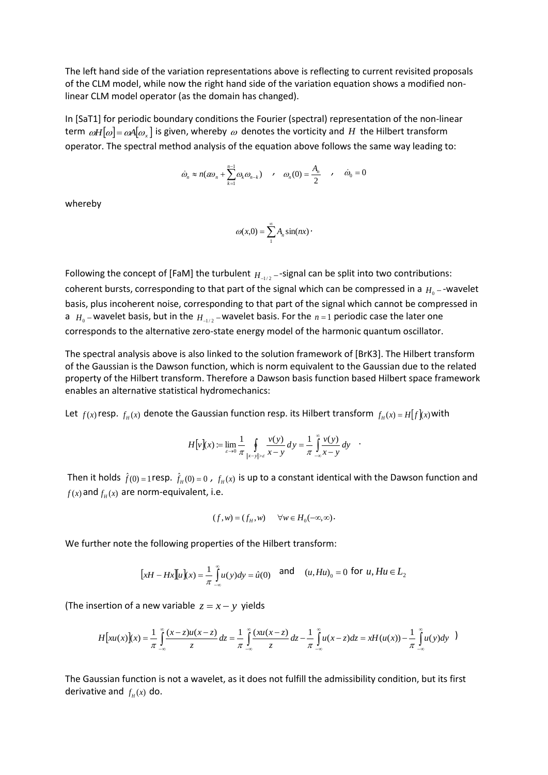The left hand side of the variation representations above is reflecting to current revisited proposals of the CLM model, while now the right hand side of the variation equation shows a modified nonlinear CLM model operator (as the domain has changed).

In [SaT1] for periodic boundary conditions the Fourier (spectral) representation of the non-linear term  $\omega H[\omega] = \omega A[\omega_x]$  is given, whereby  $\omega$  denotes the vorticity and  $H$  the Hilbert transform operator. The spectral method analysis of the equation above follows the same way leading to:

$$
\dot{\omega}_n \approx n(\varepsilon \omega_n + \sum_{k=1}^{n-1} \omega_k \omega_{n-k}) \qquad , \quad \omega_n(0) = \frac{A_n}{2} \qquad , \quad \dot{\omega}_0 = 0
$$

whereby

$$
\omega(x,0)=\sum_1^{\infty}A_n\sin(nx)
$$

Following the concept of [FaM] the turbulent  $H_{-1/2}$  --signal can be split into two contributions: coherent bursts, corresponding to that part of the signal which can be compressed in a  $H_0$  – -wavelet basis, plus incoherent noise, corresponding to that part of the signal which cannot be compressed in a  $H_0$  – wavelet basis, but in the  $H_{-1/2}$  – wavelet basis. For the  $n=1$  periodic case the later one corresponds to the alternative zero-state energy model of the harmonic quantum oscillator.

The spectral analysis above is also linked to the solution framework of [BrK3]. The Hilbert transform of the Gaussian is the Dawson function, which is norm equivalent to the Gaussian due to the related property of the Hilbert transform. Therefore a Dawson basis function based Hilbert space framework enables an alternative statistical hydromechanics:

Let  $f(x)$  resp.  $f_H(x)$  denote the Gaussian function resp. its Hilbert transform  $f_H(x) = H[f](x)$  with

$$
H[v](x) := \lim_{\varepsilon \to 0} \frac{1}{\pi} \oint_{|x-y| > \varepsilon} \frac{v(y)}{x-y} dy = \frac{1}{\pi} \int_{-\infty}^{\infty} \frac{v(y)}{x-y} dy
$$

Then it holds  $\hat{f}(0) = 1$  resp.  $\hat{f}_H(0) = 0$  ,  $f_H(x)$  is up to a constant identical with the Dawson function and  $f(x)$  and  $f_{H}(x)$  are norm-equivalent, i.e.

$$
(f, w) = (fH, w) \qquad \forall w \in H0(-\infty, \infty).
$$

We further note the following properties of the Hilbert transform:

$$
[xH - Hx][u](x) = \frac{1}{\pi} \int_{-\infty}^{\infty} u(y) dy = \hat{u}(0) \text{ and } (u, Hu)_0 = 0 \text{ for } u, Hu \in L_2
$$

(The insertion of a new variable  $z = x - y$  yields

$$
H[xu(x)](x) = \frac{1}{\pi} \int_{-\infty}^{\infty} \frac{(x-z)u(x-z)}{z} dz = \frac{1}{\pi} \int_{-\infty}^{\infty} \frac{(xu(x-z))}{z} dz - \frac{1}{\pi} \int_{-\infty}^{\infty} u(x-z) dz = xH(u(x)) - \frac{1}{\pi} \int_{-\infty}^{\infty} u(y) dy
$$

The Gaussian function is not a wavelet, as it does not fulfill the admissibility condition, but its first derivative and  $f_H(x)$  do.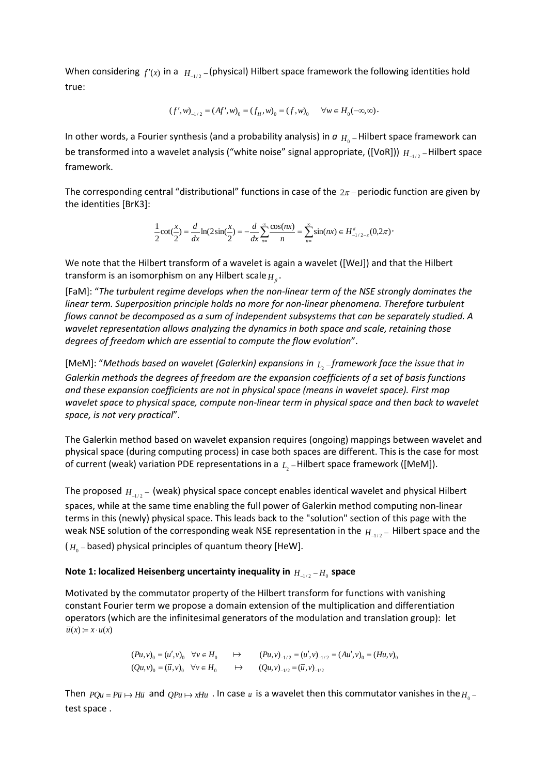When considering  $f'(x)$  in a  $H_{-1/2}$ -(physical) Hilbert space framework the following identities hold true:

$$
(f', w)_{-1/2} = (Af', w)_0 = (f_H, w)_0 = (f, w)_0 \quad \forall w \in H_0(-\infty, \infty).
$$

In other words, a Fourier synthesis (and a probability analysis) in  $a|_{H_0}$  – Hilbert space framework can be transformed into a wavelet analysis ("white noise" signal appropriate, ([VoR]))  $H_{-1/2}$  – Hilbert space framework.

The corresponding central "distributional" functions in case of the  $2\pi$  – periodic function are given by the identities [BrK3]:

$$
\frac{1}{2}\cot(\frac{x}{2}) = \frac{d}{dx}\ln(2\sin(\frac{x}{2})) = -\frac{d}{dx}\sum_{n=-\infty}^{\infty}\frac{\cos(nx)}{n} = \sum_{n=-\infty}^{\infty}\sin(nx) \in H_{-1/2-\varepsilon}^{+}(0,2\pi).
$$

We note that the Hilbert transform of a wavelet is again a wavelet ([WeJ]) and that the Hilbert transform is an isomorphism on any Hilbert scale *H* .

[FaM]: "*The turbulent regime develops when the non-linear term of the NSE strongly dominates the linear term. Superposition principle holds no more for non-linear phenomena. Therefore turbulent flows cannot be decomposed as a sum of independent subsystems that can be separately studied. A wavelet representation allows analyzing the dynamics in both space and scale, retaining those degrees of freedom which are essential to compute the flow evolution*".

[MeM]: "Methods based on wavelet (Galerkin) expansions in  $_{L_2}$  –framework face the issue that in *Galerkin methods the degrees of freedom are the expansion coefficients of a set of basis functions and these expansion coefficients are not in physical space (means in wavelet space). First map wavelet space to physical space, compute non-linear term in physical space and then back to wavelet space, is not very practical*".

The Galerkin method based on wavelet expansion requires (ongoing) mappings between wavelet and physical space (during computing process) in case both spaces are different. This is the case for most of current (weak) variation PDE representations in a  $L_2$  – Hilbert space framework ([MeM]).

The proposed  $H_{1/2}$  – (weak) physical space concept enables identical wavelet and physical Hilbert spaces, while at the same time enabling the full power of Galerkin method computing non-linear terms in this (newly) physical space. This leads back to the "solution" section of this page with the weak NSE solution of the corresponding weak NSE representation in the  $H_{1/2}$  – Hilbert space and the ( $H_{\rm 0}$  – based) physical principles of quantum theory [HeW].

# Note 1: localized Heisenberg uncertainty inequality in  $H_{-1/2}$  –  $H_0$  space

Motivated by the commutator property of the Hilbert transform for functions with vanishing constant Fourier term we propose a domain extension of the multiplication and differentiation operators (which are the infinitesimal generators of the modulation and translation group): let  $\overline{u}(x) := x \cdot u(x)$ 

$$
(Pu, v)_0 = (u', v)_0 \quad \forall v \in H_0 \qquad \mapsto \qquad (Pu, v)_{-1/2} = (u', v)_{-1/2} = (Au', v)_0 = (Hu, v)_0
$$
  

$$
(Qu, v)_0 = (\overline{u}, v)_0 \quad \forall v \in H_0 \qquad \mapsto \qquad (Qu, v)_{-1/2} = (\overline{u}, v)_{-1/2}
$$

Then  $PQu = P\overline{u} \mapsto H\overline{u}$  and  $QPu \mapsto xHu$  . In case  $u$  is a wavelet then this commutator vanishes in the  $H_0$  – test space .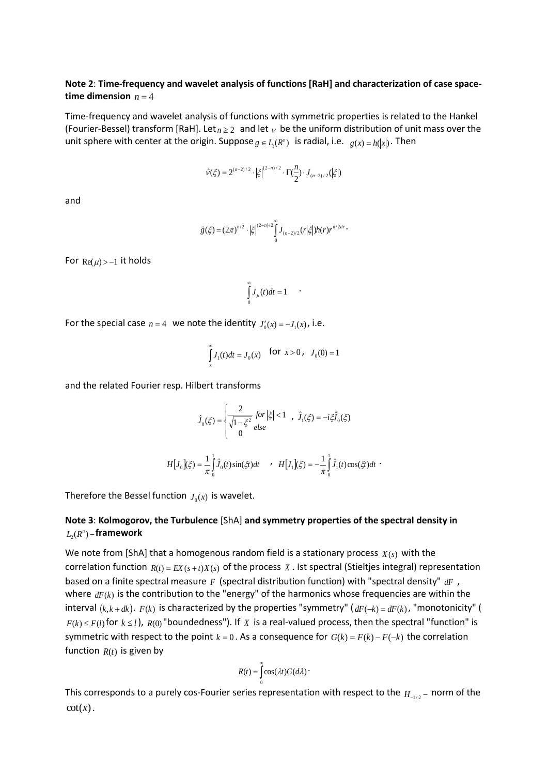### **Note 2**: **Time-frequency and wavelet analysis of functions [RaH] and characterization of case spacetime dimension**  $n = 4$

Time-frequency and wavelet analysis of functions with symmetric properties is related to the Hankel (Fourier-Bessel) transform [RaH]. Let  $n \geq 2$  and let  $\nu$  be the uniform distribution of unit mass over the unit sphere with center at the origin. Suppose  $g \in L_1(R^n)$  is radial, i.e.  $g(x) = h(|x|)$ . Then

$$
\hat{v}(\xi)=2^{(n-2)/2}\cdot\big|\xi\big|^{(2-n)/2}\cdot\Gamma(\frac{n}{2})\cdot J_{(n-2)/2}(\big|\xi\big|)
$$

and

$$
\ddot{g}(\xi) = (2\pi)^{n/2} \cdot \left|\xi\right|^{(2-n)/2} \int_{0}^{\infty} J_{(n-2)/2}(r|\xi|) h(r) r^{n/2dr}.
$$

For  $\text{Re}(\mu)$  > -1 it holds

$$
\int_{0}^{\infty} J_{\mu}(t)dt = 1 \qquad \cdot
$$

For the special case  $n = 4$  we note the identity  $J'_0(x) = -J_1(x)$ , i.e.

$$
\int_{x}^{\infty} J_1(t)dt = J_0(x) \text{ for } x > 0, J_0(0) = 1
$$

and the related Fourier resp. Hilbert transforms

$$
\hat{J}_0(\xi) = \begin{cases}\n\frac{2}{\sqrt{1 - \xi^2}} \text{ for } |\xi| < 1, \quad \hat{J}_1(\xi) = -i\xi \hat{J}_0(\xi) \\
0 & \text{else}\n\end{cases}
$$

$$
H[J_0](\xi) = \frac{1}{\pi} \int_0^1 \hat{J}_0(t) \sin(\xi t) dt \qquad \, H[J_1](\xi) = -\frac{1}{\pi} \int_0^1 \hat{J}_1(t) \cos(\xi t) dt
$$

Therefore the Bessel function  $J_0(x)$  is wavelet.

# **Note 3**: **Kolmogorov, the Turbulence** [ShA] **and symmetry properties of the spectral density in**   $L_2(R^n)$  – framework

We note from [ShA] that a homogenous random field is a stationary process  $X(s)$  with the correlation function  $R(t) = EX(s + t)X(s)$  of the process X. Ist spectral (Stieltjes integral) representation based on a finite spectral measure  $F$  (spectral distribution function) with "spectral density"  $dF$ , where  $dF(k)$  is the contribution to the "energy" of the harmonics whose frequencies are within the interval  $(k, k + dk)$ .  $F(k)$  is characterized by the properties "symmetry"  $(dF(-k) = dF(k))$ , "monotonicity" (  $F(k) \leq F(l)$  for  $k \leq l$ ),  $R(0)$  "boundedness"). If  $X$  is a real-valued process, then the spectral "function" is symmetric with respect to the point  $k = 0$ . As a consequence for  $G(k) = F(k) - F(-k)$  the correlation function  $R(t)$  is given by

$$
R(t) = \int_{0}^{\infty} \cos(\lambda t) G(d\lambda)
$$

This corresponds to a purely cos-Fourier series representation with respect to the  $H_{_{-1/2}}-$  norm of the  $cot(x)$ .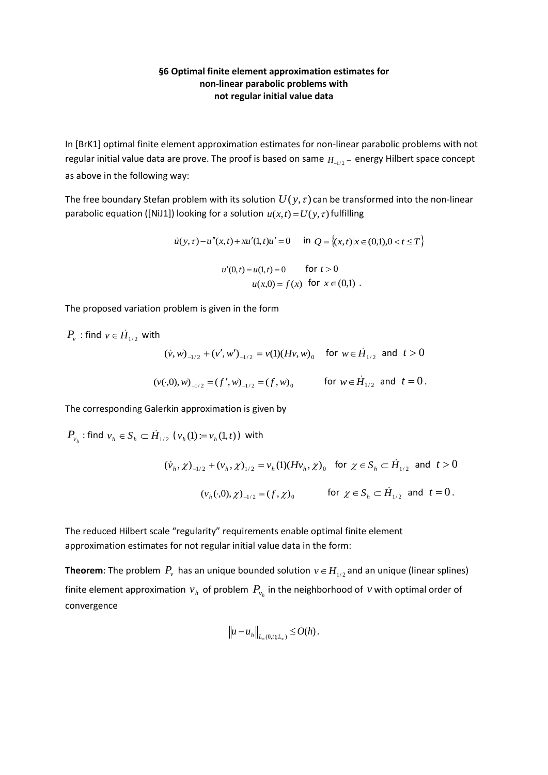### **§6 Optimal finite element approximation estimates for non-linear parabolic problems with not regular initial value data**

In [BrK1] optimal finite element approximation estimates for non-linear parabolic problems with not regular initial value data are prove. The proof is based on same  $H_{-1/2}$  – energy Hilbert space concept as above in the following way:

The free boundary Stefan problem with its solution  $U(y, \tau)$  can be transformed into the non-linear parabolic equation ([NiJ1]) looking for a solution  $u(x,t) = U(y, \tau)$  fulfilling

$$
\dot{u}(y,\tau) - u''(x,t) + xu'(1,t)u' = 0 \quad \text{in } Q = \{(x,t) | x \in (0,1), 0 < t \le T \}
$$

$$
u'(0,t) = u(1,t) = 0 \quad \text{for } t > 0
$$

$$
u(x,0) = f(x) \quad \text{for } x \in (0,1) \ .
$$

The proposed variation problem is given in the form

 $P_{\scriptscriptstyle V}$  : find  ${\scriptstyle \mathcal{V}} \in \dot{H}_{\scriptscriptstyle 1/2}$  with  $(\dot{v}, w)_{-1/2} + (v', w')_{-1/2} = v(1)(Hv, w)_0$  for  $w \in \dot{H}_{1/2}$  and  $t > 0$  $(v(\cdot,0), w)_{-1/2} = (f', w)_{-1/2} = (f, w)_0$  for  $w \in \dot{H}_{1/2}$  and  $t = 0$ .

The corresponding Galerkin approximation is given by

 $P_{v_h}$ : find  $v_h \in S_h \subset \dot{H}_{1/2}$  ( $v_h(1) := v_h(1,t)$ ) with  $(\dot{v}_h, \chi)_{-1/2} + (v_h, \chi)_{1/2} = v_h(1)(Hv_h, \chi)_0$  for  $\chi \in S_h \subset \dot{H}_{1/2}$  and  $t > 0$  $(v_h(\cdot,0), \chi)_{-1/2} = (f, \chi)_0$  for  $\chi \in S_h \subset \dot{H}_{1/2}$  and  $t = 0$ .

The reduced Hilbert scale "regularity" requirements enable optimal finite element approximation estimates for not regular initial value data in the form:

**Theorem**: The problem  $P_v$  has an unique bounded solution  $v \in H_{1/2}$  and an unique (linear splines) finite element approximation  $v_h$  of problem  $P_{v_h}$  in the neighborhood of  $v$  with optimal order of convergence

$$
\|u-u_h\|_{L_\infty(0,t);L_\infty)}\leq O(h)\,.
$$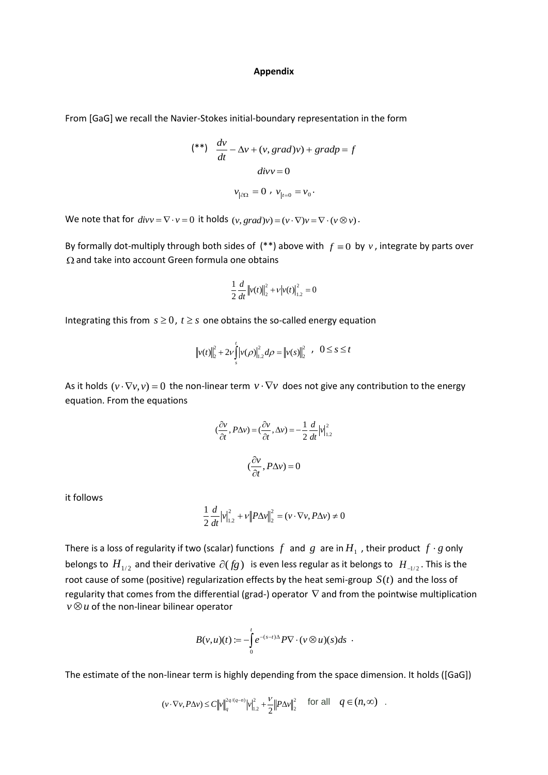#### **Appendix**

From [GaG] we recall the Navier-Stokes initial-boundary representation in the form

$$
(**) \frac{dv}{dt} - \Delta v + (v, grad)v) + grad p = f
$$

$$
div v = 0
$$

$$
v_{|\partial\Omega} = 0, v_{|r=0} = v_0.
$$

We note that for  $divv = \nabla \cdot v = 0$  it holds  $(v, grad)v = (v \cdot \nabla)v = \nabla \cdot (v \otimes v)$ .

By formally dot-multiply through both sides of  $(**)$  above with  $f \equiv 0$  by  $v$ , integrate by parts over  $\Omega$  and take into account Green formula one obtains

$$
\frac{1}{2}\frac{d}{dt}\left\|v(t)\right\|_{2}^{2} + \nu\left|v(t)\right|_{1.2}^{2} = 0
$$

Integrating this from  $s \geq 0$ ,  $t \geq s$  one obtains the so-called energy equation

$$
\left\|v(t)\right\|_{2}^{2} + 2v \int_{s}^{t} \left|v(\rho)\right|_{1,2}^{2} d\rho = \left\|v(s)\right\|_{2}^{2}, \quad 0 \leq s \leq t
$$

As it holds  $(v \cdot \nabla v, v) = 0$  the non-linear term  $v \cdot \nabla v$  does not give any contribution to the energy equation. From the equations

$$
(\frac{\partial v}{\partial t}, P\Delta v) = (\frac{\partial v}{\partial t}, \Delta v) = -\frac{1}{2} \frac{d}{dt} |v|_{1,2}^2
$$

$$
(\frac{\partial v}{\partial t}, P\Delta v) = 0
$$

it follows

$$
\frac{1}{2}\frac{d}{dt}\left|v\right|_{1.2}^{2} + v\left\|P\Delta v\right\|_{2}^{2} = \left(v \cdot \nabla v, P\Delta v\right) \neq 0
$$

There is a loss of regularity if two (scalar) functions  $f$  and  $g$  are in  $H_{1}$  , their product  $f\cdot g$  only belongs to  $H_{1/2}$  and their derivative  $\partial (fg)$  is even less regular as it belongs to  $H_{-1/2}$ . This is the root cause of some (positive) regularization effects by the heat semi-group *S*(*t*) and the loss of regularity that comes from the differential (grad-) operator  $\nabla$  and from the pointwise multiplication  $v \otimes u$  of the non-linear bilinear operator

$$
B(v,u)(t) := -\int_{0}^{t} e^{-(s-t)\Delta} P \nabla \cdot (v \otimes u)(s) ds.
$$

The estimate of the non-linear term is highly depending from the space dimension. It holds ([GaG])

$$
(v \cdot \nabla v, P \Delta v) \leq C \left\|v\right\|_q^{2q/(q-n)} \left|v\right\|_{1,2}^2 + \frac{V}{2} \left\|P \Delta v\right\|_2^2 \quad \text{for all} \quad q \in (n, \infty) \quad .
$$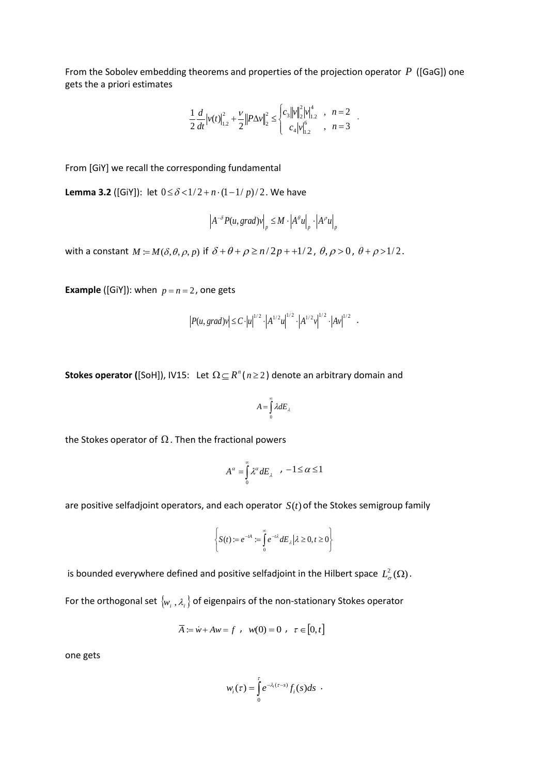From the Sobolev embedding theorems and properties of the projection operator *P* ([GaG]) one gets the a priori estimates

$$
\frac{1}{2}\frac{d}{dt}\left|v(t)\right|_{1.2}^{2}+\frac{\nu}{2}\left\|P\Delta v\right\|_{2}^{2}\leq\begin{cases}c_{3}\left\|v\right\|_{2}^{2}\left|v\right|_{1.2}^{4}, & n=2\\c_{4}\left|v\right|_{1.2}^{6}, & n=3\end{cases}.
$$

From [GiY] we recall the corresponding fundamental

**Lemma 3.2** ([GiY]): let  $0 \le \delta < 1/2 + n \cdot (1-1/p)/2$ . We have

$$
\left|A^{-\delta}P(u,grad)v\right|_p \leq M \cdot \left|A^{\theta}u\right|_p \cdot \left|A^{\rho}u\right|_p
$$

with a constant  $M := M(\delta, \theta, \rho, p)$  if  $\delta + \theta + \rho \ge n/2p + 1/2$ ,  $\theta, \rho > 0$ ,  $\theta + \rho > 1/2$ .

**Example** ([GiY]): when  $p = n = 2$ , one gets

$$
|P(u, grad)v| \leq C \cdot |u|^{1/2} \cdot |A^{1/2}u|^{1/2} \cdot |A^{1/2}v|^{1/2} \cdot |Av|^{1/2} .
$$

**Stokes operator** ([SoH]), IV15: Let  $\Omega \subseteq R^n$  ( $n \geq 2$ ) denote an arbitrary domain and

$$
A = \int_{0}^{\infty} \lambda dE_{\lambda}
$$

the Stokes operator of  $\Omega$  . Then the fractional powers

$$
A^{\alpha} = \int_{0}^{\infty} \lambda^{\alpha} dE_{\lambda} \quad , \ -1 \leq \alpha \leq 1
$$

are positive selfadjoint operators, and each operator *S*(*t*) of the Stokes semigroup family

$$
\left\{S(t) := e^{-tA} := \int_{0}^{\infty} e^{-t\lambda} dE_{\lambda} | \lambda \ge 0, t \ge 0 \right\}
$$

is bounded everywhere defined and positive selfadjoint in the Hilbert space  $L^2_{\sigma}(\Omega)$ .

For the orthogonal set  $\{w_i, \lambda_i\}$  of eigenpairs of the non-stationary Stokes operator

$$
\overline{A} := \dot{w} + Aw = f \; , \; w(0) = 0 \; , \; \tau \in [0, t]
$$

one gets

$$
w_i(\tau) = \int_0^{\tau} e^{-\lambda_i(\tau-s)} f_i(s) ds
$$
.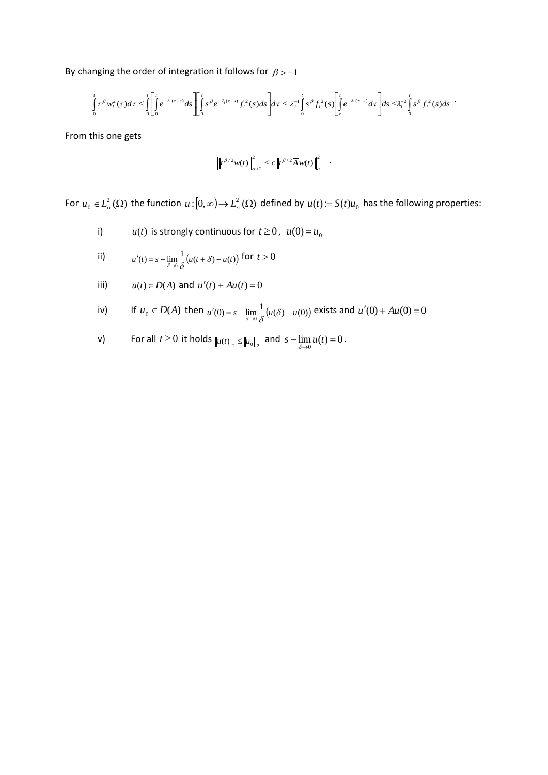By changing the order of integration it follows for  $\beta > -1$ 

$$
\int_{0}^{t} \tau^{\beta} w_{i}^{2}(\tau) d\tau \leq \int_{0}^{t} \left[ \int_{0}^{\tau} e^{-\lambda_{i}(\tau-s)} ds \right] \left[ \int_{0}^{\tau} s^{\beta} e^{-\lambda_{i}(\tau-s)} f_{i}^{2}(s) ds \right] d\tau \leq \lambda_{i}^{-1} \int_{0}^{t} s^{\beta} f_{i}^{2}(s) \left[ \int_{\tau}^{t} e^{-\lambda_{i}(\tau-s)} d\tau \right] ds \leq \lambda_{i}^{-2} \int_{0}^{t} s^{\beta} f_{i}^{2}(s) ds
$$

From this one gets

$$
\left\|t^{\beta/2}w(t)\right\|_{\alpha+2}^2 \leq c\left\|t^{\beta/2}\overline{A}w(t)\right\|_{\alpha}^2 \quad \, .
$$

For  $u_0 \in L^2_\sigma(\Omega)$  the function  $u:[0,\infty) \to L^2_\sigma(\Omega)$  defined by  $u(t) = S(t)u_0$  has the following properties:

i)  $u(t)$  is strongly continuous for  $t \ge 0$ ,  $u(0) = u_0$ 

ii) 
$$
u'(t) = s - \lim_{\delta \to 0} \frac{1}{\delta} \big( u(t + \delta) - u(t) \big) \text{ for } t > 0
$$

iii) 
$$
u(t) \in D(A)
$$
 and  $u'(t) + Au(t) = 0$ 

iv) If 
$$
u_0 \in D(A)
$$
 then  $u'(0) = s - \lim_{\delta \to 0} \frac{1}{\delta} (u(\delta) - u(0))$  exists and  $u'(0) + Au(0) = 0$ 

v) For all 
$$
t \ge 0
$$
 it holds  $||u(t)||_2 \le ||u_0||_2$  and  $s - \lim_{\delta \to 0} u(t) = 0$ .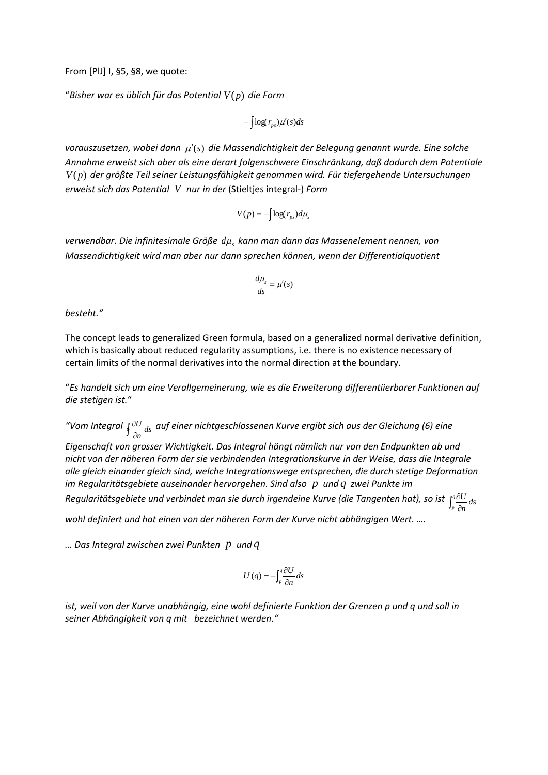From [PlJ] I, §5, §8, we quote:

"*Bisher war es üblich für das Potential V*( *p*) *die Form*

$$
-\int \log(r_{ps})\mu'(s)ds
$$

*vorauszusetzen, wobei dann*  (*s*) *die Massendichtigkeit der Belegung genannt wurde. Eine solche Annahme erweist sich aber als eine derart folgenschwere Einschränkung, daß dadurch dem Potentiale V*( *p*) *der größte Teil seiner Leistungsfähigkeit genommen wird. Für tiefergehende Untersuchungen erweist sich das Potential V nur in der* (Stieltjes integral-) *Form*

$$
V(p) = -\int \log(r_{ps}) d\mu_s
$$

*verwendbar. Die infinitesimale Größe <sup>s</sup> d kann man dann das Massenelement nennen, von Massendichtigkeit wird man aber nur dann sprechen können, wenn der Differentialquotient* 

$$
\frac{d\mu_s}{ds} = \mu'(s)
$$

*besteht."* 

The concept leads to generalized Green formula, based on a generalized normal derivative definition, which is basically about reduced regularity assumptions, i.e. there is no existence necessary of certain limits of the normal derivatives into the normal direction at the boundary.

"*Es handelt sich um eine Verallgemeinerung, wie es die Erweiterung differentiierbarer Funktionen auf die stetigen ist.*"

"Vom Integral  $\oint \frac{\partial U}{\partial n} ds$  $\frac{U}{\tau}$ <sub>ds</sub> auf einer nichtgeschlossenen Kurve ergibt sich aus der Gleichung (6) eine

*Eigenschaft von grosser Wichtigkeit. Das Integral hängt nämlich nur von den Endpunkten ab und nicht von der näheren Form der sie verbindenden Integrationskurve in der Weise, dass die Integrale alle gleich einander gleich sind, welche Integrationswege entsprechen, die durch stetige Deformation im Regularitätsgebiete auseinander hervorgehen. Sind also p und q zwei Punkte im* 

Regularitätsgebiete und verbindet man sie durch irgendeine Kurve (die Tangenten hat), so ist  $\int_{r}^{q}\frac{\partial U}{\partial t}$  $\int_{p}^{\infty} \frac{\partial c}{\partial n} ds$ *U*

*wohl definiert und hat einen von der näheren Form der Kurve nicht abhängigen Wert. ….* 

*… Das Integral zwischen zwei Punkten p und q*

$$
\overline{U}(q) = -\int_{p}^{q} \frac{\partial U}{\partial n} ds
$$

*ist, weil von der Kurve unabhängig, eine wohl definierte Funktion der Grenzen p und q und soll in seiner Abhängigkeit von q mit bezeichnet werden."*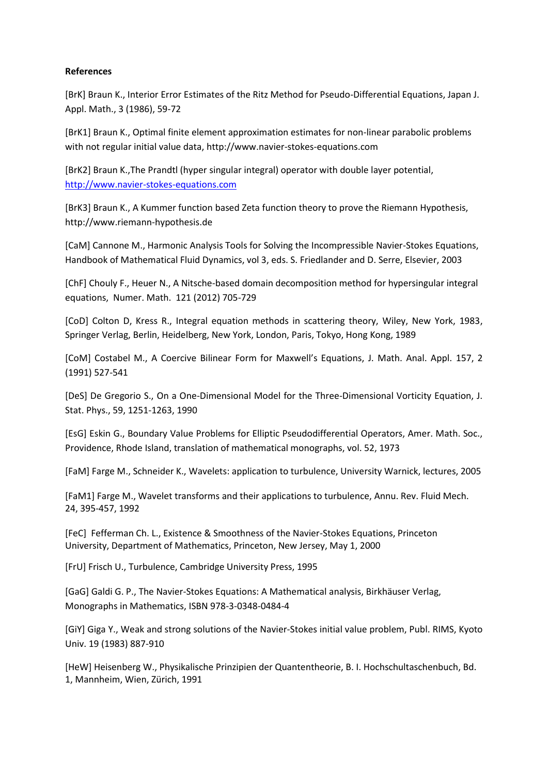### **References**

[BrK] Braun K., Interior Error Estimates of the Ritz Method for Pseudo-Differential Equations, Japan J. Appl. Math., 3 (1986), 59-72

[BrK1] Braun K., Optimal finite element approximation estimates for non-linear parabolic problems with not regular initial value data, http://www.navier-stokes-equations.com

[BrK2] Braun K.,The Prandtl (hyper singular integral) operator with double layer potential, [http://www.navier-stokes-equations.com](http://www.navier-stokes-equations.com/)

[BrK3] Braun K., A Kummer function based Zeta function theory to prove the Riemann Hypothesis, [http://www.riemann-hypothesis.de](http://www.riemann-hypothesis.de/)

[CaM] Cannone M., Harmonic Analysis Tools for Solving the Incompressible Navier-Stokes Equations, Handbook of Mathematical Fluid Dynamics, vol 3, eds. S. Friedlander and D. Serre, Elsevier, 2003

[ChF] Chouly F., Heuer N., A Nitsche-based domain decomposition method for hypersingular integral equations, Numer. Math. 121 (2012) 705-729

[CoD] Colton D, Kress R., Integral equation methods in scattering theory, Wiley, New York, 1983, Springer Verlag, Berlin, Heidelberg, New York, London, Paris, Tokyo, Hong Kong, 1989

[CoM] Costabel M., A Coercive Bilinear Form for Maxwell's Equations, J. Math. Anal. Appl. 157, 2 (1991) 527-541

[DeS] De Gregorio S., On a One-Dimensional Model for the Three-Dimensional Vorticity Equation, J. Stat. Phys., 59, 1251-1263, 1990

[EsG] Eskin G., Boundary Value Problems for Elliptic Pseudodifferential Operators, Amer. Math. Soc., Providence, Rhode Island, translation of mathematical monographs, vol. 52, 1973

[FaM] Farge M., Schneider K., Wavelets: application to turbulence, University Warnick, lectures, 2005

[FaM1] Farge M., Wavelet transforms and their applications to turbulence, Annu. Rev. Fluid Mech. 24, 395-457, 1992

[FeC] Fefferman Ch. L., Existence & Smoothness of the Navier-Stokes Equations, Princeton University, Department of Mathematics, Princeton, New Jersey, May 1, 2000

[FrU] Frisch U., Turbulence, Cambridge University Press, 1995

[GaG] Galdi G. P., The Navier-Stokes Equations: A Mathematical analysis, Birkhäuser Verlag, Monographs in Mathematics, ISBN 978-3-0348-0484-4

[GiY] Giga Y., Weak and strong solutions of the Navier-Stokes initial value problem, Publ. RIMS, Kyoto Univ. 19 (1983) 887-910

[HeW] Heisenberg W., Physikalische Prinzipien der Quantentheorie, B. I. Hochschultaschenbuch, Bd. 1, Mannheim, Wien, Zürich, 1991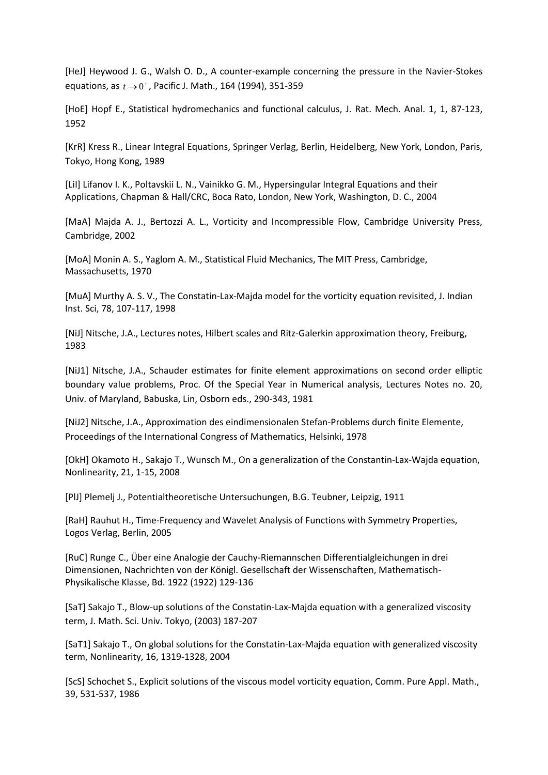[HeJ] Heywood J. G., Walsh O. D., A counter-example concerning the pressure in the Navier-Stokes equations, as  $t \to 0^+$ , Pacific J. Math., 164 (1994), 351-359

[HoE] Hopf E., Statistical hydromechanics and functional calculus, J. Rat. Mech. Anal. 1, 1, 87-123, 1952

[KrR] Kress R., Linear Integral Equations, Springer Verlag, Berlin, Heidelberg, New York, London, Paris, Tokyo, Hong Kong, 1989

[LiI] Lifanov I. K., Poltavskii L. N., Vainikko G. M., Hypersingular Integral Equations and their Applications, Chapman & Hall/CRC, Boca Rato, London, New York, Washington, D. C., 2004

[MaA] Majda A. J., Bertozzi A. L., Vorticity and Incompressible Flow, Cambridge University Press, Cambridge, 2002

[MoA] Monin A. S., Yaglom A. M., Statistical Fluid Mechanics, The MIT Press, Cambridge, Massachusetts, 1970

[MuA] Murthy A. S. V., The Constatin-Lax-Majda model for the vorticity equation revisited, J. Indian Inst. Sci, 78, 107-117, 1998

[NiJ] Nitsche, J.A., Lectures notes, Hilbert scales and Ritz-Galerkin approximation theory, Freiburg, 1983

[NiJ1] Nitsche, J.A., Schauder estimates for finite element approximations on second order elliptic boundary value problems, Proc. Of the Special Year in Numerical analysis, Lectures Notes no. 20, Univ. of Maryland, Babuska, Lin, Osborn eds., 290-343, 1981

[NiJ2] Nitsche, J.A., Approximation des eindimensionalen Stefan-Problems durch finite Elemente, Proceedings of the International Congress of Mathematics, Helsinki, 1978

[OkH] Okamoto H., Sakajo T., Wunsch M., On a generalization of the Constantin-Lax-Wajda equation, Nonlinearity, 21, 1-15, 2008

[PlJ] Plemelj J., Potentialtheoretische Untersuchungen, B.G. Teubner, Leipzig, 1911

[RaH] Rauhut H., Time-Frequency and Wavelet Analysis of Functions with Symmetry Properties, Logos Verlag, Berlin, 2005

[RuC] Runge C., Über eine Analogie der Cauchy-Riemannschen Differentialgleichungen in drei Dimensionen, Nachrichten von der Königl. Gesellschaft der Wissenschaften, Mathematisch-Physikalische Klasse, Bd. 1922 (1922) 129-136

[SaT] Sakajo T., Blow-up solutions of the Constatin-Lax-Majda equation with a generalized viscosity term, J. Math. Sci. Univ. Tokyo, (2003) 187-207

[SaT1] Sakajo T., On global solutions for the Constatin-Lax-Majda equation with generalized viscosity term, Nonlinearity, 16, 1319-1328, 2004

[ScS] Schochet S., Explicit solutions of the viscous model vorticity equation, Comm. Pure Appl. Math., 39, 531-537, 1986